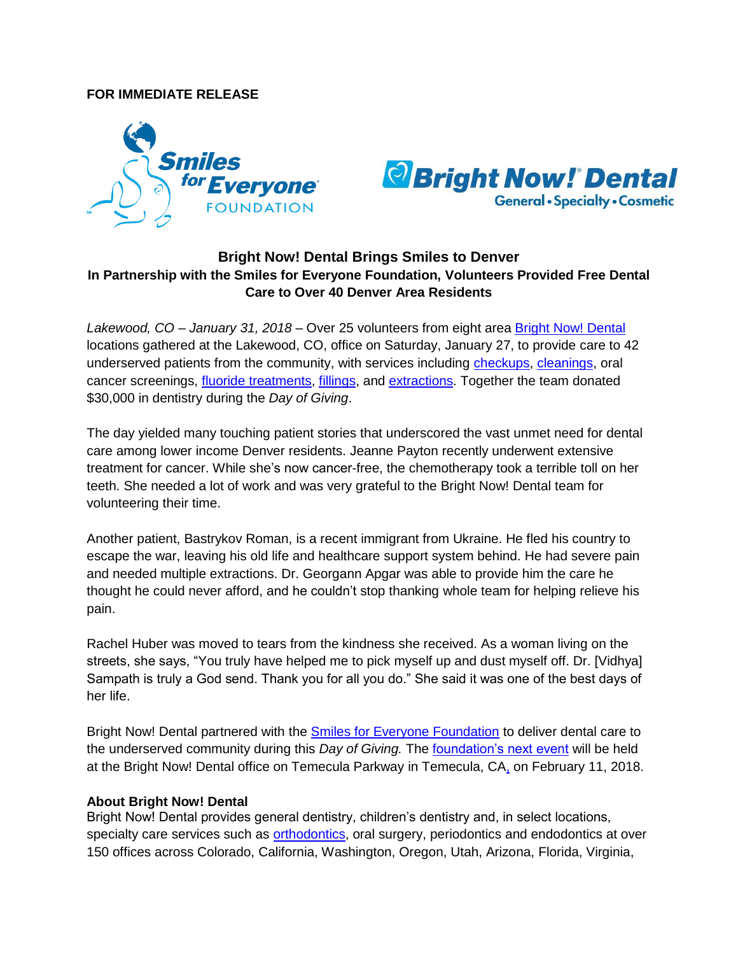## **FOR IMMEDIATE RELEASE**





## **Bright Now! Dental Brings Smiles to Denver In Partnership with the Smiles for Everyone Foundation, Volunteers Provided Free Dental Care to Over 40 Denver Area Residents**

*Lakewood, CO – January 31, 2018* – Over 25 volunteers from eight area [Bright Now! Dental](file://bnd.corp/corpfs/Common/Smiles%20For%20Everyone%20Foundation/Days%20of%20Giving/Denver%20Day%20of%20Giving/brightnow.com) locations gathered at the Lakewood, CO, office on Saturday, January 27, to provide care to 42 underserved patients from the community, with services including [checkups,](https://www.brightnow.com/dentist/dental-checkup) [cleanings,](https://www.brightnow.com/dentist/teeth-cleaning) oral cancer screenings, [fluoride treatments,](https://www.brightnow.com/dentist/teeth-cleaning) [fillings,](https://www.brightnow.com/dentist/dental-fillings) and [extractions.](https://www.brightnow.com/oral-surgeon/tooth-extraction) Together the team donated \$30,000 in dentistry during the *Day of Giving*.

The day yielded many touching patient stories that underscored the vast unmet need for dental care among lower income Denver residents. Jeanne Payton recently underwent extensive treatment for cancer. While she's now cancer-free, the chemotherapy took a terrible toll on her teeth. She needed a lot of work and was very grateful to the Bright Now! Dental team for volunteering their time.

Another patient, Bastrykov Roman, is a recent immigrant from Ukraine. He fled his country to escape the war, leaving his old life and healthcare support system behind. He had severe pain and needed multiple extractions. Dr. Georgann Apgar was able to provide him the care he thought he could never afford, and he couldn't stop thanking whole team for helping relieve his pain.

Rachel Huber was moved to tears from the kindness she received. As a woman living on the streets, she says, "You truly have helped me to pick myself up and dust myself off. Dr. [Vidhya] Sampath is truly a God send. Thank you for all you do." She said it was one of the best days of her life.

Bright Now! Dental partnered with the [Smiles for Everyone Foundation](https://www.smilesforeveryone.org/) to deliver dental care to the underserved community during this *Day of Giving.* Th[e foundation's next event](https://www.smilesforeveryone.org/programs/#upcoming_events) will be held at the Bright Now! Dental office on Temecula Parkway in Temecula, CA, on February 11, 2018.

## **About Bright Now! Dental**

Bright Now! Dental provides general dentistry, children's dentistry and, in select locations, specialty care services such as **orthodontics**, oral surgery, periodontics and endodontics at over 150 offices across Colorado, California, Washington, Oregon, Utah, Arizona, Florida, Virginia,